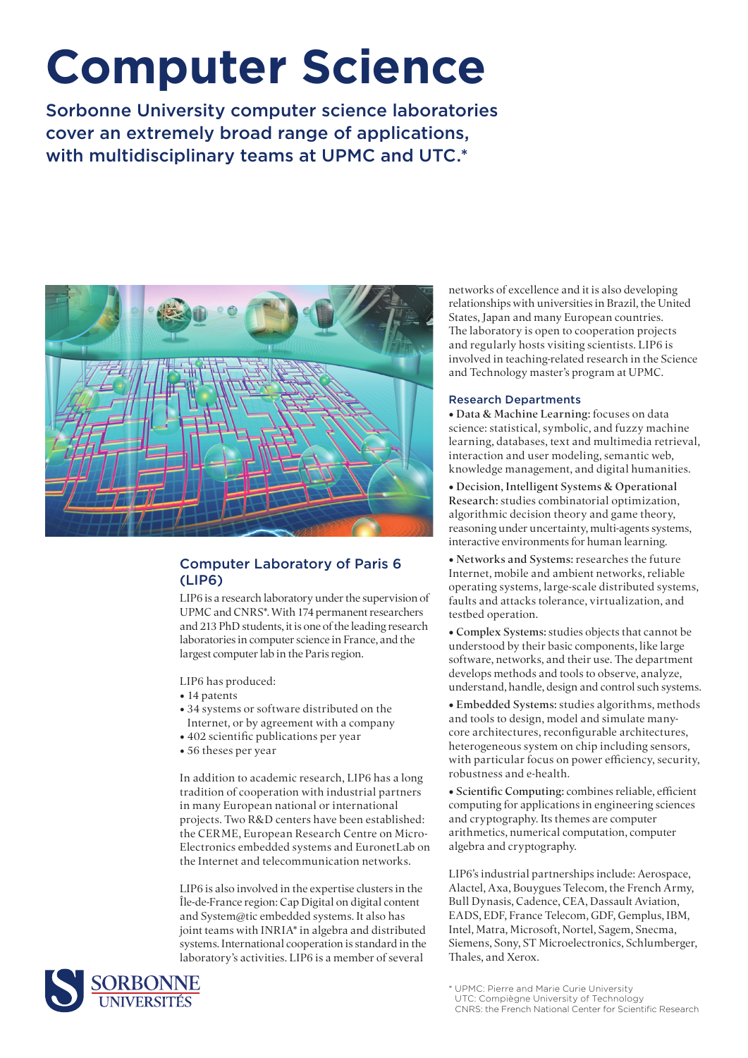# **Computer Science**

Sorbonne University computer science laboratories cover an extremely broad range of applications, with multidisciplinary teams at UPMC and UTC.\*



# Computer Laboratory of Paris 6 (LIP6)

LIP6 is a research laboratory under the supervision of UPMC and CNRS\*. With 174 permanent researchers and 213 PhD students, it is one of the leading research laboratories in computer science in France, and the largest computer lab in the Paris region.

LIP6 has produced:

- 14 patents
- 34 systems or software distributed on the Internet, or by agreement with a company
- 402 scientific publications per year
- 56 theses per year

In addition to academic research, LIP6 has a long tradition of cooperation with industrial partners in many European national or international projects. Two R&D centers have been established: the CERME, European Research Centre on Micro-Electronics embedded systems and EuronetLab on the Internet and telecommunication networks.

LIP6 is also involved in the expertise clusters in the Île-de-France region: Cap Digital on digital content and System@tic embedded systems. It also has joint teams with INRIA\* in algebra and distributed systems. International cooperation is standard in the laboratory's activities. LIP6 is a member of several



networks of excellence and it is also developing relationships with universities in Brazil, the United States, Japan and many European countries. The laboratory is open to cooperation projects and regularly hosts visiting scientists. LIP6 is involved in teaching-related research in the Science and Technology master's program at UPMC.

## Research Departments

• Data & Machine Learning: focuses on data science: statistical, symbolic, and fuzzy machine learning, databases, text and multimedia retrieval, interaction and user modeling, semantic web, knowledge management, and digital humanities.

• Decision, Intelligent Systems & Operational Research: studies combinatorial optimization, algorithmic decision theory and game theory, reasoning under uncertainty, multi-agents systems, interactive environments for human learning.

• Networks and Systems: researches the future Internet, mobile and ambient networks, reliable operating systems, large-scale distributed systems, faults and attacks tolerance, virtualization, and testbed operation.

• Complex Systems: studies objects that cannot be understood by their basic components, like large software, networks, and their use. The department develops methods and tools to observe, analyze, understand, handle, design and control such systems.

• Embedded Systems: studies algorithms, methods and tools to design, model and simulate manycore architectures, reconfigurable architectures, heterogeneous system on chip including sensors, with particular focus on power efficiency, security, robustness and e-health.

• Scientific Computing: combines reliable, efficient computing for applications in engineering sciences and cryptography. Its themes are computer arithmetics, numerical computation, computer algebra and cryptography.

LIP6's industrial partnerships include: Aerospace, Alactel, Axa, Bouygues Telecom, the French Army, Bull Dynasis, Cadence, CEA, Dassault Aviation, EADS, EDF, France Telecom, GDF, Gemplus, IBM, Intel, Matra, Microsoft, Nortel, Sagem, Snecma, Siemens, Sony, ST Microelectronics, Schlumberger, Thales, and Xerox.

<sup>\*</sup> UPMC: Pierre and Marie Curie University UTC: Compiègne University of Technology CNRS: the French National Center for Scientific Research